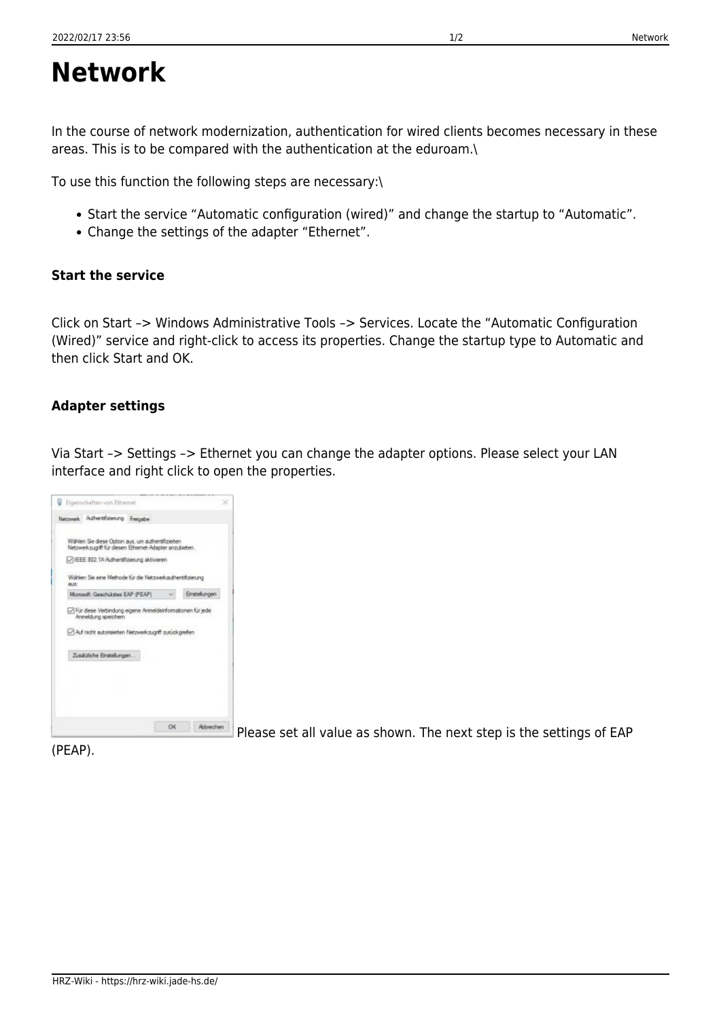## **Network**

In the course of network modernization, authentication for wired clients becomes necessary in these areas. This is to be compared with the authentication at the eduroam.\

To use this function the following steps are necessary:\

- Start the service "Automatic configuration (wired)" and change the startup to "Automatic".
- Change the settings of the adapter "Ethernet".

## **Start the service**

Click on Start –> Windows Administrative Tools –> Services. Locate the "Automatic Configuration (Wired)" service and right-click to access its properties. Change the startup type to Automatic and then click Start and OK.

## **Adapter settings**

Via Start –> Settings –> Ethernet you can change the adapter options. Please select your LAN interface and right click to open the properties.

|             | Netzwerk Authentifizierung Freigabe                                                                           |            |                     |
|-------------|---------------------------------------------------------------------------------------------------------------|------------|---------------------|
|             | Wählen Sie diese Option aus, um authentifizierten.<br>Netzwerkzugriff für diesen Ethernet-Adapter anzubieten. |            |                     |
|             | -1EEE 802.1X-Authentifizierung aktivieren                                                                     |            |                     |
| <b>BUS:</b> | Wahlen Sie eine Methode für die Netzwerkauthentifizierung                                                     |            |                     |
|             | Morosoft: Geachütztes EAP (PEAP)                                                                              |            | <b>Enstellungen</b> |
|             | Für diese Verbindung eigene Anmeldeinformationen für jede<br>Anneldung speichern                              |            |                     |
|             | Auf nicht autotsierten Netzwerkzugrift zurückgreifen.                                                         |            |                     |
|             | Zusätzliche Einstellungen                                                                                     |            |                     |
|             |                                                                                                               |            |                     |
|             |                                                                                                               |            |                     |
|             |                                                                                                               | <b>CHC</b> |                     |

Please set all value as shown. The next step is the settings of EAP

(PEAP).